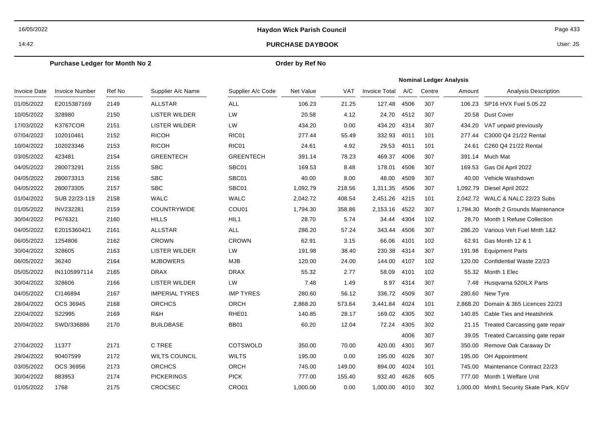16/05/2022

# **Haydon Wick Parish Council Page 433**

## 14:42 **PURCHASE DAYBOOK**

User: JS

### **Purchase Ledger for Month No 2**

## **Order by Ref No**

|              |                       |        |                       |                   |           |            |                      | <b>Nominal Ledger Analysis</b> |        |          |                                         |  |  |
|--------------|-----------------------|--------|-----------------------|-------------------|-----------|------------|----------------------|--------------------------------|--------|----------|-----------------------------------------|--|--|
| Invoice Date | <b>Invoice Number</b> | Ref No | Supplier A/c Name     | Supplier A/c Code | Net Value | <b>VAT</b> | <b>Invoice Total</b> | A/C                            | Centre | Amount   | <b>Analysis Description</b>             |  |  |
| 01/05/2022   | E2015387169           | 2149   | <b>ALLSTAR</b>        | <b>ALL</b>        | 106.23    | 21.25      | 127.48               | 4506                           | 307    | 106.23   | SP16 HVX Fuel 5.05.22                   |  |  |
| 10/05/2022   | 328980                | 2150   | LISTER WILDER         | LW                | 20.58     | 4.12       | 24.70                | 4512                           | 307    | 20.58    | Dust Cover                              |  |  |
| 17/03/2022   | <b>K3767COR</b>       | 2151   | LISTER WILDER         | LW                | 434.20    | 0.00       | 434.20               | 4314                           | 307    | 434.20   | VAT unpaid previously                   |  |  |
| 07/04/2022   | 102010461             | 2152   | <b>RICOH</b>          | RIC01             | 277.44    | 55.49      | 332.93               | 4011                           | 101    | 277.44   | C3000 Q4 21/22 Rental                   |  |  |
| 10/04/2022   | 102023346             | 2153   | <b>RICOH</b>          | RIC01             | 24.61     | 4.92       | 29.53                | 4011                           | 101    | 24.61    | C260 Q4 21/22 Rental                    |  |  |
| 03/05/2022   | 423481                | 2154   | <b>GREENTECH</b>      | <b>GREENTECH</b>  | 391.14    | 78.23      | 469.37               | 4006                           | 307    |          | 391.14 Much Mat                         |  |  |
| 04/05/2022   | 280073291             | 2155   | <b>SBC</b>            | SBC01             | 169.53    | 8.48       | 178.01               | 4506                           | 307    | 169.53   | Gas Oil April 2022                      |  |  |
| 04/05/2022   | 280073313             | 2156   | <b>SBC</b>            | SBC01             | 40.00     | 8.00       | 48.00                | 4509                           | 307    | 40.00    | Vehicle Washdown                        |  |  |
| 04/05/2022   | 280073305             | 2157   | <b>SBC</b>            | SBC01             | 1,092.79  | 218.56     | 1,311.35             | 4506                           | 307    | 1,092.79 | Diesel April 2022                       |  |  |
| 01/04/2022   | SUB 22/23-119         | 2158   | <b>WALC</b>           | <b>WALC</b>       | 2,042.72  | 408.54     | 2,451.26             | 4215                           | 101    |          | 2,042.72 WALC & NALC 22/23 Subs         |  |  |
| 01/05/2022   | INV232281             | 2159   | <b>COUNTRYWIDE</b>    | COU01             | 1,794.30  | 358.86     | 2,153.16             | 4522                           | 307    |          | 1,794.30 Month 2 Grounds Maintenance    |  |  |
| 30/04/2022   | P676321               | 2160   | <b>HILLS</b>          | HIL1              | 28.70     | 5.74       | 34.44                | 4304                           | 102    | 28.70    | Month 1 Refuse Collection               |  |  |
| 04/05/2022   | E2015360421           | 2161   | <b>ALLSTAR</b>        | ALL               | 286.20    | 57.24      | 343.44               | 4506                           | 307    | 286.20   | Various Veh Fuel Mnth 1&2               |  |  |
| 06/05/2022   | 1254806               | 2162   | <b>CROWN</b>          | <b>CROWN</b>      | 62.91     | 3.15       | 66.06                | 4101                           | 102    | 62.91    | Gas Month 12 & 1                        |  |  |
| 30/04/2022   | 328605                | 2163   | <b>LISTER WILDER</b>  | LW                | 191.98    | 38.40      | 230.38               | 4314                           | 307    | 191.98   | <b>Equipment Parts</b>                  |  |  |
| 06/05/2022   | 36240                 | 2164   | <b>MJBOWERS</b>       | <b>MJB</b>        | 120.00    | 24.00      | 144.00               | 4107                           | 102    | 120.00   | Confidential Waste 22/23                |  |  |
| 05/05/2022   | IN1105997114          | 2165   | <b>DRAX</b>           | <b>DRAX</b>       | 55.32     | 2.77       | 58.09                | 4101                           | 102    | 55.32    | Month 1 Elec                            |  |  |
| 30/04/2022   | 328606                | 2166   | <b>LISTER WILDER</b>  | LW                | 7.48      | 1.49       | 8.97                 | 4314                           | 307    | 7.48     | Husqvarna 520ILX Parts                  |  |  |
| 04/05/2022   | CI146894              | 2167   | <b>IMPERIAL TYRES</b> | <b>IMP TYRES</b>  | 280.60    | 56.12      | 336.72               | 4509                           | 307    | 280.60   | New Tyre                                |  |  |
| 28/04/2022   | OCS 36945             | 2168   | <b>ORCHCS</b>         | ORCH              | 2,868.20  | 573.64     | 3,441.84             | 4024                           | 101    | 2,868.20 | Domain & 365 Licences 22/23             |  |  |
| 22/04/2022   | S22995                | 2169   | R&H                   | RHE01             | 140.85    | 28.17      | 169.02               | 4305                           | 302    | 140.85   | Cable Ties and Heatshrink               |  |  |
| 20/04/2022   | SWD/336886            | 2170   | <b>BUILDBASE</b>      | <b>BB01</b>       | 60.20     | 12.04      | 72.24                | 4305                           | 302    | 21.15    | Treated Carcassing gate repair          |  |  |
|              |                       |        |                       |                   |           |            |                      | 4006                           | 307    | 39.05    | Treated Carcassing gate repair          |  |  |
| 27/04/2022   | 11377                 | 2171   | C TREE                | <b>COTSWOLD</b>   | 350.00    | 70.00      | 420.00               | 4301                           | 307    | 350.00   | Remove Oak Caraway Dr                   |  |  |
| 29/04/2022   | 90407599              | 2172   | <b>WILTS COUNCIL</b>  | <b>WILTS</b>      | 195.00    | 0.00       | 195.00               | 4026                           | 307    | 195.00   | OH Appointment                          |  |  |
| 03/05/2022   | OCS 36956             | 2173   | <b>ORCHCS</b>         | ORCH              | 745.00    | 149.00     | 894.00               | 4024                           | 101    | 745.00   | Maintenance Contract 22/23              |  |  |
| 30/04/2022   | 883953                | 2174   | <b>PICKERINGS</b>     | <b>PICK</b>       | 777.00    | 155.40     | 932.40               | 4626                           | 605    | 777.00   | Month 1 Welfare Unit                    |  |  |
| 01/05/2022   | 1768                  | 2175   | CROCSEC               | CRO01             | 1,000.00  | 0.00       | 1,000.00             | 4010                           | 302    |          | 1,000.00 Mnth1 Security Skate Park, KGV |  |  |